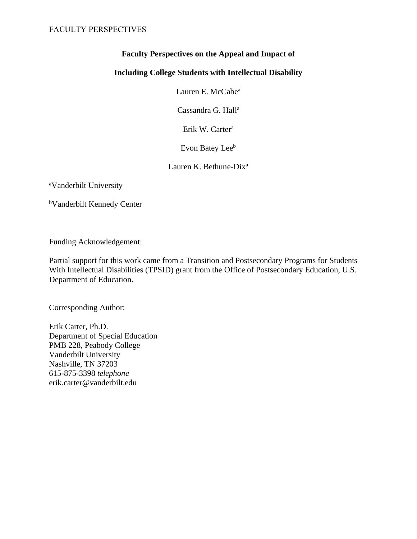# **Faculty Perspectives on the Appeal and Impact of**

# **Including College Students with Intellectual Disability**

Lauren E. McCabe<sup>a</sup>

Cassandra G. Hall<sup>a</sup>

Erik W. Carter<sup>a</sup>

Evon Batey Lee<sup>b</sup>

Lauren K. Bethune-Dix<sup>a</sup>

<sup>a</sup>Vanderbilt University

<sup>b</sup>Vanderbilt Kennedy Center

Funding Acknowledgement:

Partial support for this work came from a Transition and Postsecondary Programs for Students With Intellectual Disabilities (TPSID) grant from the Office of Postsecondary Education, U.S. Department of Education.

Corresponding Author:

Erik Carter, Ph.D. Department of Special Education PMB 228, Peabody College Vanderbilt University Nashville, TN 37203 615-875-3398 *telephone* erik.carter@vanderbilt.edu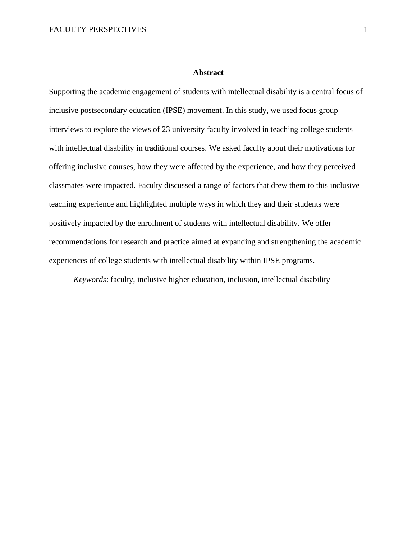# **Abstract**

Supporting the academic engagement of students with intellectual disability is a central focus of inclusive postsecondary education (IPSE) movement. In this study, we used focus group interviews to explore the views of 23 university faculty involved in teaching college students with intellectual disability in traditional courses. We asked faculty about their motivations for offering inclusive courses, how they were affected by the experience, and how they perceived classmates were impacted. Faculty discussed a range of factors that drew them to this inclusive teaching experience and highlighted multiple ways in which they and their students were positively impacted by the enrollment of students with intellectual disability. We offer recommendations for research and practice aimed at expanding and strengthening the academic experiences of college students with intellectual disability within IPSE programs.

*Keywords*: faculty, inclusive higher education, inclusion, intellectual disability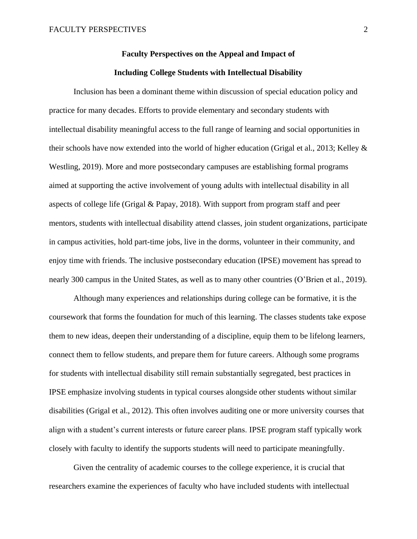# **Faculty Perspectives on the Appeal and Impact of Including College Students with Intellectual Disability**

Inclusion has been a dominant theme within discussion of special education policy and practice for many decades. Efforts to provide elementary and secondary students with intellectual disability meaningful access to the full range of learning and social opportunities in their schools have now extended into the world of higher education (Grigal et al., 2013; Kelley & Westling, 2019). More and more postsecondary campuses are establishing formal programs aimed at supporting the active involvement of young adults with intellectual disability in all aspects of college life (Grigal & Papay, 2018). With support from program staff and peer mentors, students with intellectual disability attend classes, join student organizations, participate in campus activities, hold part-time jobs, live in the dorms, volunteer in their community, and enjoy time with friends. The inclusive postsecondary education (IPSE) movement has spread to nearly 300 campus in the United States, as well as to many other countries (O'Brien et al., 2019).

Although many experiences and relationships during college can be formative, it is the coursework that forms the foundation for much of this learning. The classes students take expose them to new ideas, deepen their understanding of a discipline, equip them to be lifelong learners, connect them to fellow students, and prepare them for future careers. Although some programs for students with intellectual disability still remain substantially segregated, best practices in IPSE emphasize involving students in typical courses alongside other students without similar disabilities (Grigal et al., 2012). This often involves auditing one or more university courses that align with a student's current interests or future career plans. IPSE program staff typically work closely with faculty to identify the supports students will need to participate meaningfully.

Given the centrality of academic courses to the college experience, it is crucial that researchers examine the experiences of faculty who have included students with intellectual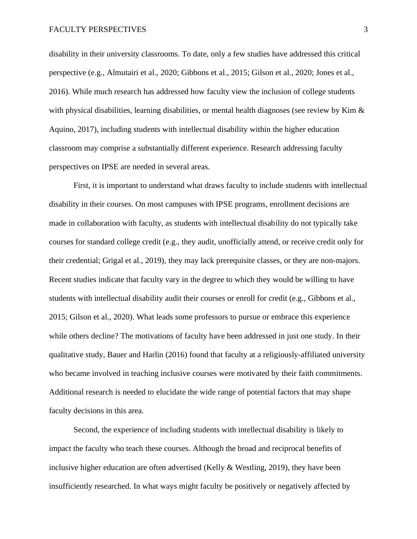disability in their university classrooms. To date, only a few studies have addressed this critical perspective (e.g., Almutairi et al., 2020; Gibbons et al., 2015; Gilson et al., 2020; Jones et al., 2016). While much research has addressed how faculty view the inclusion of college students with physical disabilities, learning disabilities, or mental health diagnoses (see review by Kim & Aquino, 2017), including students with intellectual disability within the higher education classroom may comprise a substantially different experience. Research addressing faculty perspectives on IPSE are needed in several areas.

First, it is important to understand what draws faculty to include students with intellectual disability in their courses. On most campuses with IPSE programs, enrollment decisions are made in collaboration with faculty, as students with intellectual disability do not typically take courses for standard college credit (e.g., they audit, unofficially attend, or receive credit only for their credential; Grigal et al., 2019), they may lack prerequisite classes, or they are non-majors. Recent studies indicate that faculty vary in the degree to which they would be willing to have students with intellectual disability audit their courses or enroll for credit (e.g., Gibbons et al., 2015; Gilson et al., 2020). What leads some professors to pursue or embrace this experience while others decline? The motivations of faculty have been addressed in just one study. In their qualitative study, Bauer and Harlin (2016) found that faculty at a religiously-affiliated university who became involved in teaching inclusive courses were motivated by their faith commitments. Additional research is needed to elucidate the wide range of potential factors that may shape faculty decisions in this area.

Second, the experience of including students with intellectual disability is likely to impact the faculty who teach these courses. Although the broad and reciprocal benefits of inclusive higher education are often advertised (Kelly  $&$  Westling, 2019), they have been insufficiently researched. In what ways might faculty be positively or negatively affected by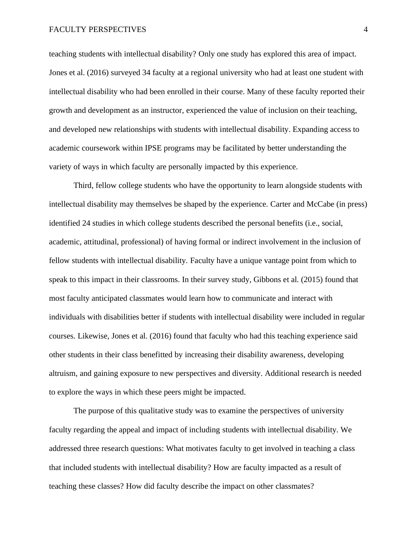teaching students with intellectual disability? Only one study has explored this area of impact. Jones et al. (2016) surveyed 34 faculty at a regional university who had at least one student with intellectual disability who had been enrolled in their course. Many of these faculty reported their growth and development as an instructor, experienced the value of inclusion on their teaching, and developed new relationships with students with intellectual disability. Expanding access to academic coursework within IPSE programs may be facilitated by better understanding the variety of ways in which faculty are personally impacted by this experience.

Third, fellow college students who have the opportunity to learn alongside students with intellectual disability may themselves be shaped by the experience. Carter and McCabe (in press) identified 24 studies in which college students described the personal benefits (i.e., social, academic, attitudinal, professional) of having formal or indirect involvement in the inclusion of fellow students with intellectual disability. Faculty have a unique vantage point from which to speak to this impact in their classrooms. In their survey study, Gibbons et al. (2015) found that most faculty anticipated classmates would learn how to communicate and interact with individuals with disabilities better if students with intellectual disability were included in regular courses. Likewise, Jones et al. (2016) found that faculty who had this teaching experience said other students in their class benefitted by increasing their disability awareness, developing altruism, and gaining exposure to new perspectives and diversity. Additional research is needed to explore the ways in which these peers might be impacted.

The purpose of this qualitative study was to examine the perspectives of university faculty regarding the appeal and impact of including students with intellectual disability. We addressed three research questions: What motivates faculty to get involved in teaching a class that included students with intellectual disability? How are faculty impacted as a result of teaching these classes? How did faculty describe the impact on other classmates?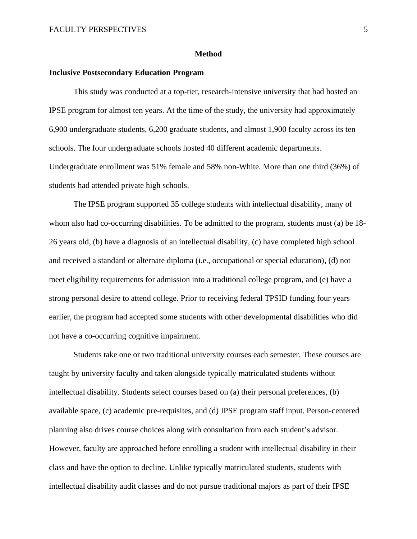#### **Method**

# **Inclusive Postsecondary Education Program**

This study was conducted at a top-tier, research-intensive university that had hosted an IPSE program for almost ten years. At the time of the study, the university had approximately 6,900 undergraduate students, 6,200 graduate students, and almost 1,900 faculty across its ten schools. The four undergraduate schools hosted 40 different academic departments. Undergraduate enrollment was 51% female and 58% non-White. More than one third (36%) of students had attended private high schools.

The IPSE program supported 35 college students with intellectual disability, many of whom also had co-occurring disabilities. To be admitted to the program, students must (a) be 18- 26 years old, (b) have a diagnosis of an intellectual disability, (c) have completed high school and received a standard or alternate diploma (i.e., occupational or special education), (d) not meet eligibility requirements for admission into a traditional college program, and (e) have a strong personal desire to attend college. Prior to receiving federal TPSID funding four years earlier, the program had accepted some students with other developmental disabilities who did not have a co-occurring cognitive impairment.

Students take one or two traditional university courses each semester. These courses are taught by university faculty and taken alongside typically matriculated students without intellectual disability. Students select courses based on (a) their personal preferences, (b) available space, (c) academic pre-requisites, and (d) IPSE program staff input. Person-centered planning also drives course choices along with consultation from each student's advisor. However, faculty are approached before enrolling a student with intellectual disability in their class and have the option to decline. Unlike typically matriculated students, students with intellectual disability audit classes and do not pursue traditional majors as part of their IPSE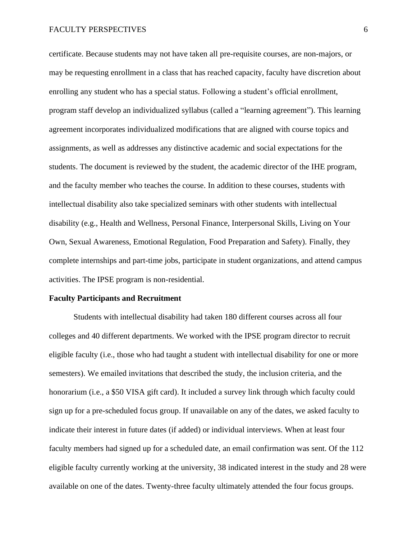certificate. Because students may not have taken all pre-requisite courses, are non-majors, or may be requesting enrollment in a class that has reached capacity, faculty have discretion about enrolling any student who has a special status. Following a student's official enrollment, program staff develop an individualized syllabus (called a "learning agreement"). This learning agreement incorporates individualized modifications that are aligned with course topics and assignments, as well as addresses any distinctive academic and social expectations for the students. The document is reviewed by the student, the academic director of the IHE program, and the faculty member who teaches the course. In addition to these courses, students with intellectual disability also take specialized seminars with other students with intellectual disability (e.g., Health and Wellness, Personal Finance, Interpersonal Skills, Living on Your Own, Sexual Awareness, Emotional Regulation, Food Preparation and Safety). Finally, they complete internships and part-time jobs, participate in student organizations, and attend campus activities. The IPSE program is non-residential.

#### **Faculty Participants and Recruitment**

Students with intellectual disability had taken 180 different courses across all four colleges and 40 different departments. We worked with the IPSE program director to recruit eligible faculty (i.e., those who had taught a student with intellectual disability for one or more semesters). We emailed invitations that described the study, the inclusion criteria, and the honorarium (i.e., a \$50 VISA gift card). It included a survey link through which faculty could sign up for a pre-scheduled focus group. If unavailable on any of the dates, we asked faculty to indicate their interest in future dates (if added) or individual interviews. When at least four faculty members had signed up for a scheduled date, an email confirmation was sent. Of the 112 eligible faculty currently working at the university, 38 indicated interest in the study and 28 were available on one of the dates. Twenty-three faculty ultimately attended the four focus groups.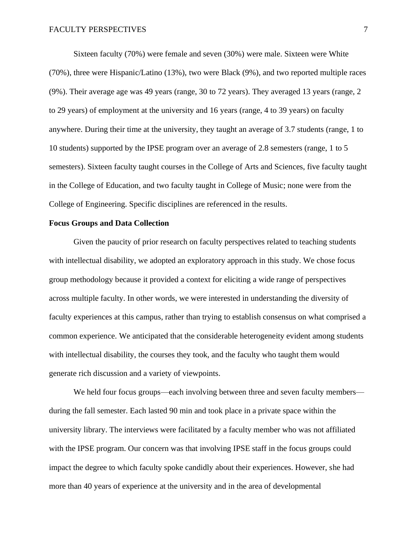Sixteen faculty (70%) were female and seven (30%) were male. Sixteen were White (70%), three were Hispanic/Latino (13%), two were Black (9%), and two reported multiple races (9%). Their average age was 49 years (range, 30 to 72 years). They averaged 13 years (range, 2 to 29 years) of employment at the university and 16 years (range, 4 to 39 years) on faculty anywhere. During their time at the university, they taught an average of 3.7 students (range, 1 to 10 students) supported by the IPSE program over an average of 2.8 semesters (range, 1 to 5 semesters). Sixteen faculty taught courses in the College of Arts and Sciences, five faculty taught in the College of Education, and two faculty taught in College of Music; none were from the College of Engineering. Specific disciplines are referenced in the results.

# **Focus Groups and Data Collection**

Given the paucity of prior research on faculty perspectives related to teaching students with intellectual disability, we adopted an exploratory approach in this study. We chose focus group methodology because it provided a context for eliciting a wide range of perspectives across multiple faculty. In other words, we were interested in understanding the diversity of faculty experiences at this campus, rather than trying to establish consensus on what comprised a common experience. We anticipated that the considerable heterogeneity evident among students with intellectual disability, the courses they took, and the faculty who taught them would generate rich discussion and a variety of viewpoints.

We held four focus groups—each involving between three and seven faculty members during the fall semester. Each lasted 90 min and took place in a private space within the university library. The interviews were facilitated by a faculty member who was not affiliated with the IPSE program. Our concern was that involving IPSE staff in the focus groups could impact the degree to which faculty spoke candidly about their experiences. However, she had more than 40 years of experience at the university and in the area of developmental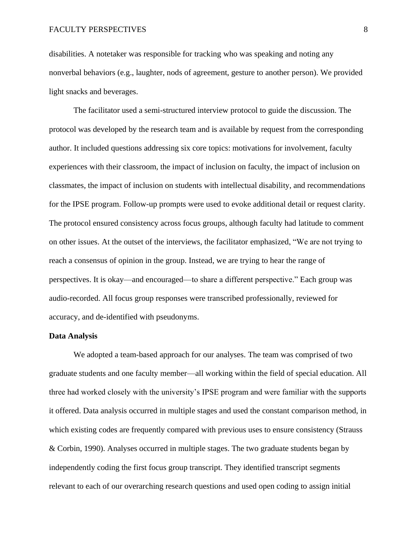disabilities. A notetaker was responsible for tracking who was speaking and noting any nonverbal behaviors (e.g., laughter, nods of agreement, gesture to another person). We provided light snacks and beverages.

The facilitator used a semi-structured interview protocol to guide the discussion. The protocol was developed by the research team and is available by request from the corresponding author. It included questions addressing six core topics: motivations for involvement, faculty experiences with their classroom, the impact of inclusion on faculty, the impact of inclusion on classmates, the impact of inclusion on students with intellectual disability, and recommendations for the IPSE program. Follow-up prompts were used to evoke additional detail or request clarity. The protocol ensured consistency across focus groups, although faculty had latitude to comment on other issues. At the outset of the interviews, the facilitator emphasized, "We are not trying to reach a consensus of opinion in the group. Instead, we are trying to hear the range of perspectives. It is okay—and encouraged—to share a different perspective." Each group was audio-recorded. All focus group responses were transcribed professionally, reviewed for accuracy, and de-identified with pseudonyms.

#### **Data Analysis**

We adopted a team-based approach for our analyses. The team was comprised of two graduate students and one faculty member—all working within the field of special education. All three had worked closely with the university's IPSE program and were familiar with the supports it offered. Data analysis occurred in multiple stages and used the constant comparison method, in which existing codes are frequently compared with previous uses to ensure consistency (Strauss & Corbin, 1990). Analyses occurred in multiple stages. The two graduate students began by independently coding the first focus group transcript. They identified transcript segments relevant to each of our overarching research questions and used open coding to assign initial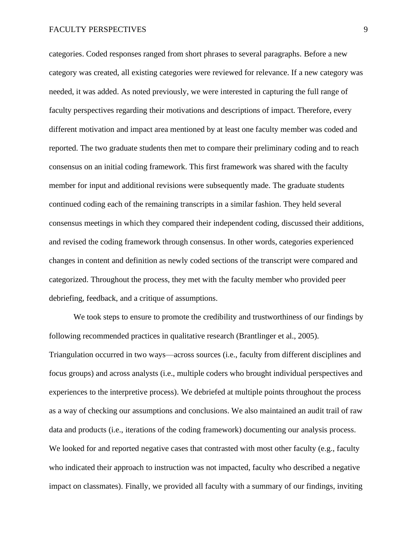categories. Coded responses ranged from short phrases to several paragraphs. Before a new category was created, all existing categories were reviewed for relevance. If a new category was needed, it was added. As noted previously, we were interested in capturing the full range of faculty perspectives regarding their motivations and descriptions of impact. Therefore, every different motivation and impact area mentioned by at least one faculty member was coded and reported. The two graduate students then met to compare their preliminary coding and to reach consensus on an initial coding framework. This first framework was shared with the faculty member for input and additional revisions were subsequently made. The graduate students continued coding each of the remaining transcripts in a similar fashion. They held several consensus meetings in which they compared their independent coding, discussed their additions, and revised the coding framework through consensus. In other words, categories experienced changes in content and definition as newly coded sections of the transcript were compared and categorized. Throughout the process, they met with the faculty member who provided peer debriefing, feedback, and a critique of assumptions.

We took steps to ensure to promote the credibility and trustworthiness of our findings by following recommended practices in qualitative research (Brantlinger et al., 2005). Triangulation occurred in two ways—across sources (i.e., faculty from different disciplines and focus groups) and across analysts (i.e., multiple coders who brought individual perspectives and experiences to the interpretive process). We debriefed at multiple points throughout the process as a way of checking our assumptions and conclusions. We also maintained an audit trail of raw data and products (i.e., iterations of the coding framework) documenting our analysis process. We looked for and reported negative cases that contrasted with most other faculty (e.g., faculty who indicated their approach to instruction was not impacted, faculty who described a negative impact on classmates). Finally, we provided all faculty with a summary of our findings, inviting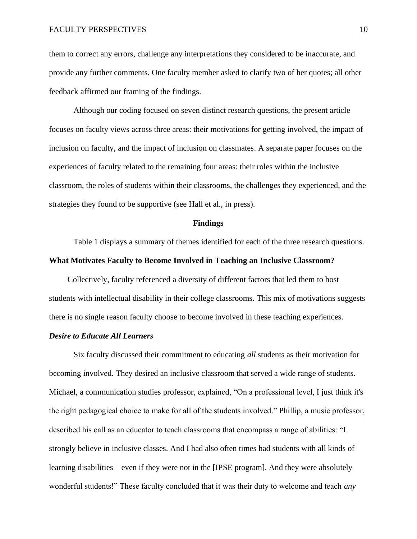them to correct any errors, challenge any interpretations they considered to be inaccurate, and provide any further comments. One faculty member asked to clarify two of her quotes; all other feedback affirmed our framing of the findings.

Although our coding focused on seven distinct research questions, the present article focuses on faculty views across three areas: their motivations for getting involved, the impact of inclusion on faculty, and the impact of inclusion on classmates. A separate paper focuses on the experiences of faculty related to the remaining four areas: their roles within the inclusive classroom, the roles of students within their classrooms, the challenges they experienced, and the strategies they found to be supportive (see Hall et al., in press).

# **Findings**

Table 1 displays a summary of themes identified for each of the three research questions.

# **What Motivates Faculty to Become Involved in Teaching an Inclusive Classroom?**

Collectively, faculty referenced a diversity of different factors that led them to host students with intellectual disability in their college classrooms. This mix of motivations suggests there is no single reason faculty choose to become involved in these teaching experiences.

# *Desire to Educate All Learners*

Six faculty discussed their commitment to educating *all* students as their motivation for becoming involved. They desired an inclusive classroom that served a wide range of students. Michael, a communication studies professor, explained, "On a professional level, I just think it's the right pedagogical choice to make for all of the students involved." Phillip, a music professor, described his call as an educator to teach classrooms that encompass a range of abilities: "I strongly believe in inclusive classes. And I had also often times had students with all kinds of learning disabilities—even if they were not in the [IPSE program]. And they were absolutely wonderful students!" These faculty concluded that it was their duty to welcome and teach *any*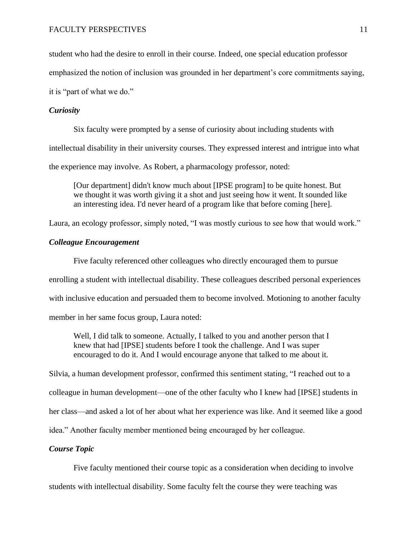student who had the desire to enroll in their course. Indeed, one special education professor

emphasized the notion of inclusion was grounded in her department's core commitments saying,

it is "part of what we do."

# *Curiosity*

Six faculty were prompted by a sense of curiosity about including students with

intellectual disability in their university courses. They expressed interest and intrigue into what

the experience may involve. As Robert, a pharmacology professor, noted:

[Our department] didn't know much about [IPSE program] to be quite honest. But we thought it was worth giving it a shot and just seeing how it went. It sounded like an interesting idea. I'd never heard of a program like that before coming [here].

Laura, an ecology professor, simply noted, "I was mostly curious to see how that would work."

# *Colleague Encouragement*

Five faculty referenced other colleagues who directly encouraged them to pursue enrolling a student with intellectual disability. These colleagues described personal experiences with inclusive education and persuaded them to become involved. Motioning to another faculty member in her same focus group, Laura noted:

Well, I did talk to someone. Actually, I talked to you and another person that I knew that had [IPSE] students before I took the challenge. And I was super encouraged to do it. And I would encourage anyone that talked to me about it.

Silvia, a human development professor, confirmed this sentiment stating, "I reached out to a colleague in human development—one of the other faculty who I knew had [IPSE] students in her class—and asked a lot of her about what her experience was like. And it seemed like a good idea." Another faculty member mentioned being encouraged by her colleague.

# *Course Topic*

Five faculty mentioned their course topic as a consideration when deciding to involve students with intellectual disability. Some faculty felt the course they were teaching was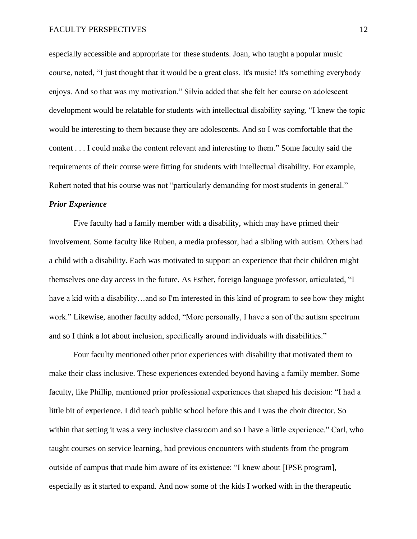especially accessible and appropriate for these students. Joan, who taught a popular music course, noted, "I just thought that it would be a great class. It's music! It's something everybody enjoys. And so that was my motivation." Silvia added that she felt her course on adolescent development would be relatable for students with intellectual disability saying, "I knew the topic would be interesting to them because they are adolescents. And so I was comfortable that the content . . . I could make the content relevant and interesting to them." Some faculty said the requirements of their course were fitting for students with intellectual disability. For example, Robert noted that his course was not "particularly demanding for most students in general."

#### *Prior Experience*

Five faculty had a family member with a disability, which may have primed their involvement. Some faculty like Ruben, a media professor, had a sibling with autism. Others had a child with a disability. Each was motivated to support an experience that their children might themselves one day access in the future. As Esther, foreign language professor, articulated, "I have a kid with a disability...and so I'm interested in this kind of program to see how they might work." Likewise, another faculty added, "More personally, I have a son of the autism spectrum and so I think a lot about inclusion, specifically around individuals with disabilities."

Four faculty mentioned other prior experiences with disability that motivated them to make their class inclusive. These experiences extended beyond having a family member. Some faculty, like Phillip, mentioned prior professional experiences that shaped his decision: "I had a little bit of experience. I did teach public school before this and I was the choir director. So within that setting it was a very inclusive classroom and so I have a little experience." Carl, who taught courses on service learning, had previous encounters with students from the program outside of campus that made him aware of its existence: "I knew about [IPSE program], especially as it started to expand. And now some of the kids I worked with in the therapeutic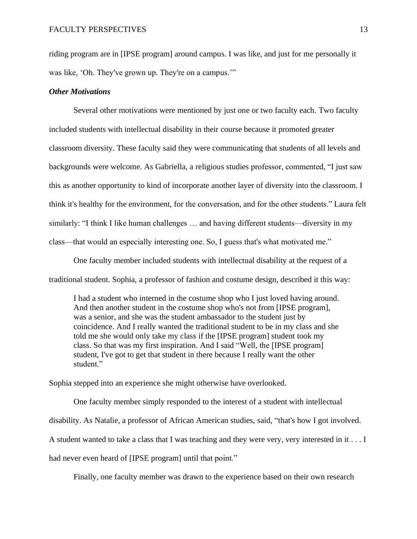riding program are in [IPSE program] around campus. I was like, and just for me personally it was like, 'Oh. They've grown up. They're on a campus.'"

# *Other Motivations*

Several other motivations were mentioned by just one or two faculty each. Two faculty included students with intellectual disability in their course because it promoted greater classroom diversity. These faculty said they were communicating that students of all levels and backgrounds were welcome. As Gabriella, a religious studies professor, commented, "I just saw this as another opportunity to kind of incorporate another layer of diversity into the classroom. I think it's healthy for the environment, for the conversation, and for the other students." Laura felt similarly: "I think I like human challenges … and having different students—diversity in my class—that would an especially interesting one. So, I guess that's what motivated me."

One faculty member included students with intellectual disability at the request of a traditional student. Sophia, a professor of fashion and costume design, described it this way:

I had a student who interned in the costume shop who I just loved having around. And then another student in the costume shop who's not from [IPSE program], was a senior, and she was the student ambassador to the student just by coincidence. And I really wanted the traditional student to be in my class and she told me she would only take my class if the [IPSE program] student took my class. So that was my first inspiration. And I said "Well, the [IPSE program] student, I've got to get that student in there because I really want the other student."

Sophia stepped into an experience she might otherwise have overlooked.

One faculty member simply responded to the interest of a student with intellectual disability. As Natalie, a professor of African American studies, said, "that's how I got involved. A student wanted to take a class that I was teaching and they were very, very interested in it . . . I had never even heard of [IPSE program] until that point."

Finally, one faculty member was drawn to the experience based on their own research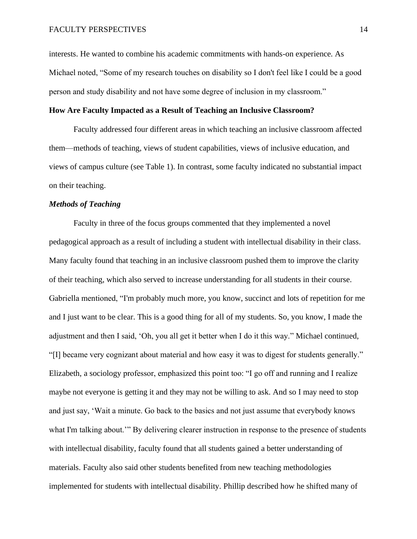interests. He wanted to combine his academic commitments with hands-on experience. As Michael noted, "Some of my research touches on disability so I don't feel like I could be a good person and study disability and not have some degree of inclusion in my classroom."

# **How Are Faculty Impacted as a Result of Teaching an Inclusive Classroom?**

Faculty addressed four different areas in which teaching an inclusive classroom affected them—methods of teaching, views of student capabilities, views of inclusive education, and views of campus culture (see Table 1). In contrast, some faculty indicated no substantial impact on their teaching.

# *Methods of Teaching*

Faculty in three of the focus groups commented that they implemented a novel pedagogical approach as a result of including a student with intellectual disability in their class. Many faculty found that teaching in an inclusive classroom pushed them to improve the clarity of their teaching, which also served to increase understanding for all students in their course. Gabriella mentioned, "I'm probably much more, you know, succinct and lots of repetition for me and I just want to be clear. This is a good thing for all of my students. So, you know, I made the adjustment and then I said, 'Oh, you all get it better when I do it this way." Michael continued, "[I] became very cognizant about material and how easy it was to digest for students generally." Elizabeth, a sociology professor, emphasized this point too: "I go off and running and I realize maybe not everyone is getting it and they may not be willing to ask. And so I may need to stop and just say, 'Wait a minute. Go back to the basics and not just assume that everybody knows what I'm talking about.'" By delivering clearer instruction in response to the presence of students with intellectual disability, faculty found that all students gained a better understanding of materials. Faculty also said other students benefited from new teaching methodologies implemented for students with intellectual disability. Phillip described how he shifted many of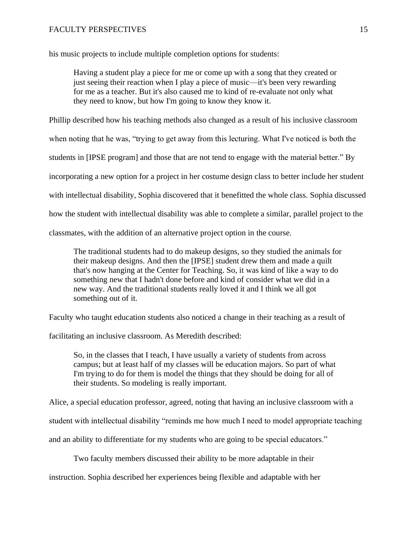his music projects to include multiple completion options for students:

Having a student play a piece for me or come up with a song that they created or just seeing their reaction when I play a piece of music—it's been very rewarding for me as a teacher. But it's also caused me to kind of re-evaluate not only what they need to know, but how I'm going to know they know it.

Phillip described how his teaching methods also changed as a result of his inclusive classroom

when noting that he was, "trying to get away from this lecturing. What I've noticed is both the

students in [IPSE program] and those that are not tend to engage with the material better." By

incorporating a new option for a project in her costume design class to better include her student

with intellectual disability, Sophia discovered that it benefitted the whole class. Sophia discussed

how the student with intellectual disability was able to complete a similar, parallel project to the

classmates, with the addition of an alternative project option in the course.

The traditional students had to do makeup designs, so they studied the animals for their makeup designs. And then the [IPSE] student drew them and made a quilt that's now hanging at the Center for Teaching. So, it was kind of like a way to do something new that I hadn't done before and kind of consider what we did in a new way. And the traditional students really loved it and I think we all got something out of it.

Faculty who taught education students also noticed a change in their teaching as a result of

facilitating an inclusive classroom. As Meredith described:

So, in the classes that I teach, I have usually a variety of students from across campus; but at least half of my classes will be education majors. So part of what I'm trying to do for them is model the things that they should be doing for all of their students. So modeling is really important.

Alice, a special education professor, agreed, noting that having an inclusive classroom with a

student with intellectual disability "reminds me how much I need to model appropriate teaching

and an ability to differentiate for my students who are going to be special educators."

Two faculty members discussed their ability to be more adaptable in their

instruction. Sophia described her experiences being flexible and adaptable with her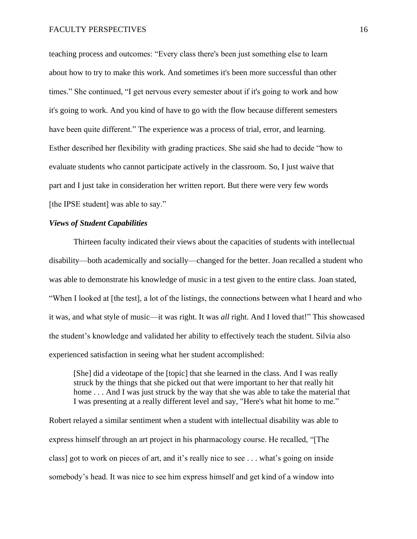teaching process and outcomes: "Every class there's been just something else to learn about how to try to make this work. And sometimes it's been more successful than other times." She continued, "I get nervous every semester about if it's going to work and how it's going to work. And you kind of have to go with the flow because different semesters have been quite different." The experience was a process of trial, error, and learning. Esther described her flexibility with grading practices. She said she had to decide "how to evaluate students who cannot participate actively in the classroom. So, I just waive that part and I just take in consideration her written report. But there were very few words [the IPSE student] was able to say."

# *Views of Student Capabilities*

Thirteen faculty indicated their views about the capacities of students with intellectual disability—both academically and socially—changed for the better. Joan recalled a student who was able to demonstrate his knowledge of music in a test given to the entire class. Joan stated, "When I looked at [the test], a lot of the listings, the connections between what I heard and who it was, and what style of music—it was right. It was *all* right. And I loved that!" This showcased the student's knowledge and validated her ability to effectively teach the student. Silvia also experienced satisfaction in seeing what her student accomplished:

[She] did a videotape of the [topic] that she learned in the class. And I was really struck by the things that she picked out that were important to her that really hit home . . . And I was just struck by the way that she was able to take the material that I was presenting at a really different level and say, "Here's what hit home to me."

Robert relayed a similar sentiment when a student with intellectual disability was able to express himself through an art project in his pharmacology course. He recalled, "[The class] got to work on pieces of art, and it's really nice to see . . . what's going on inside somebody's head. It was nice to see him express himself and get kind of a window into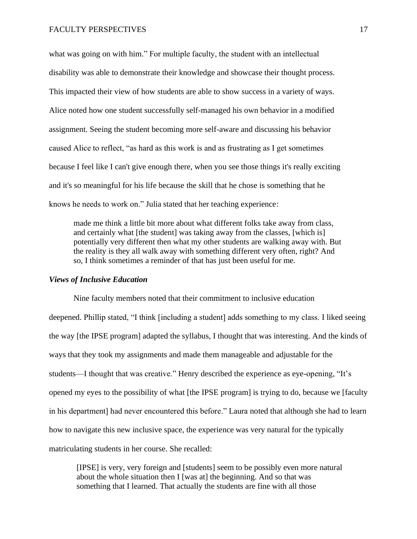what was going on with him." For multiple faculty, the student with an intellectual disability was able to demonstrate their knowledge and showcase their thought process. This impacted their view of how students are able to show success in a variety of ways. Alice noted how one student successfully self-managed his own behavior in a modified assignment. Seeing the student becoming more self-aware and discussing his behavior caused Alice to reflect, "as hard as this work is and as frustrating as I get sometimes because I feel like I can't give enough there, when you see those things it's really exciting and it's so meaningful for his life because the skill that he chose is something that he knows he needs to work on." Julia stated that her teaching experience:

made me think a little bit more about what different folks take away from class, and certainly what [the student] was taking away from the classes, [which is] potentially very different then what my other students are walking away with. But the reality is they all walk away with something different very often, right? And so, I think sometimes a reminder of that has just been useful for me.

# *Views of Inclusive Education*

Nine faculty members noted that their commitment to inclusive education deepened. Phillip stated, "I think [including a student] adds something to my class. I liked seeing the way [the IPSE program] adapted the syllabus, I thought that was interesting. And the kinds of ways that they took my assignments and made them manageable and adjustable for the students—I thought that was creative." Henry described the experience as eye-opening, "It's opened my eyes to the possibility of what [the IPSE program] is trying to do, because we [faculty in his department] had never encountered this before." Laura noted that although she had to learn how to navigate this new inclusive space, the experience was very natural for the typically matriculating students in her course. She recalled:

[IPSE] is very, very foreign and [students] seem to be possibly even more natural about the whole situation then I [was at] the beginning. And so that was something that I learned. That actually the students are fine with all those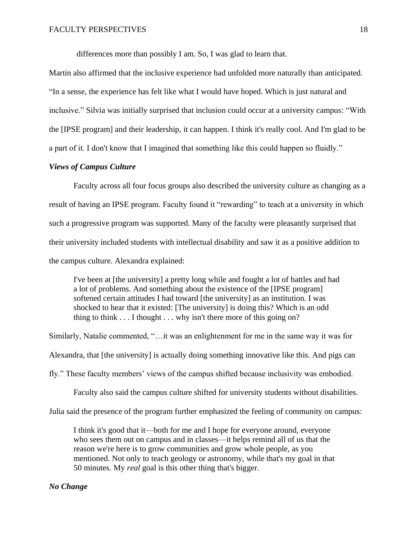differences more than possibly I am. So, I was glad to learn that.

Martin also affirmed that the inclusive experience had unfolded more naturally than anticipated. "In a sense, the experience has felt like what I would have hoped. Which is just natural and inclusive." Silvia was initially surprised that inclusion could occur at a university campus: "With the [IPSE program] and their leadership, it can happen. I think it's really cool. And I'm glad to be a part of it. I don't know that I imagined that something like this could happen so fluidly."

# *Views of Campus Culture*

Faculty across all four focus groups also described the university culture as changing as a result of having an IPSE program. Faculty found it "rewarding" to teach at a university in which such a progressive program was supported. Many of the faculty were pleasantly surprised that their university included students with intellectual disability and saw it as a positive addition to the campus culture. Alexandra explained:

I've been at [the university] a pretty long while and fought a lot of battles and had a lot of problems. And something about the existence of the [IPSE program] softened certain attitudes I had toward [the university] as an institution. I was shocked to hear that it existed: [The university] is doing this? Which is an odd thing to think  $\dots$  I thought  $\dots$  why isn't there more of this going on?

Similarly, Natalie commented, "…it was an enlightenment for me in the same way it was for

Alexandra, that [the university] is actually doing something innovative like this. And pigs can

fly." These faculty members' views of the campus shifted because inclusivity was embodied.

Faculty also said the campus culture shifted for university students without disabilities.

Julia said the presence of the program further emphasized the feeling of community on campus:

I think it's good that it—both for me and I hope for everyone around, everyone who sees them out on campus and in classes—it helps remind all of us that the reason we're here is to grow communities and grow whole people, as you mentioned. Not only to teach geology or astronomy, while that's my goal in that 50 minutes. My *real* goal is this other thing that's bigger.

# *No Change*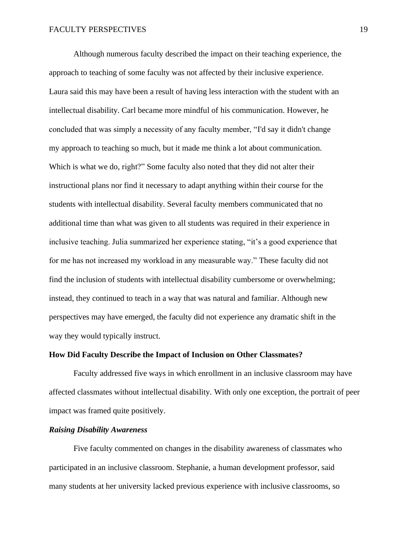Although numerous faculty described the impact on their teaching experience, the approach to teaching of some faculty was not affected by their inclusive experience. Laura said this may have been a result of having less interaction with the student with an intellectual disability. Carl became more mindful of his communication. However, he concluded that was simply a necessity of any faculty member, "I'd say it didn't change my approach to teaching so much, but it made me think a lot about communication. Which is what we do, right?" Some faculty also noted that they did not alter their instructional plans nor find it necessary to adapt anything within their course for the students with intellectual disability. Several faculty members communicated that no additional time than what was given to all students was required in their experience in inclusive teaching. Julia summarized her experience stating, "it's a good experience that for me has not increased my workload in any measurable way." These faculty did not find the inclusion of students with intellectual disability cumbersome or overwhelming; instead, they continued to teach in a way that was natural and familiar. Although new perspectives may have emerged, the faculty did not experience any dramatic shift in the way they would typically instruct.

# **How Did Faculty Describe the Impact of Inclusion on Other Classmates?**

Faculty addressed five ways in which enrollment in an inclusive classroom may have affected classmates without intellectual disability. With only one exception, the portrait of peer impact was framed quite positively.

# *Raising Disability Awareness*

Five faculty commented on changes in the disability awareness of classmates who participated in an inclusive classroom. Stephanie, a human development professor, said many students at her university lacked previous experience with inclusive classrooms, so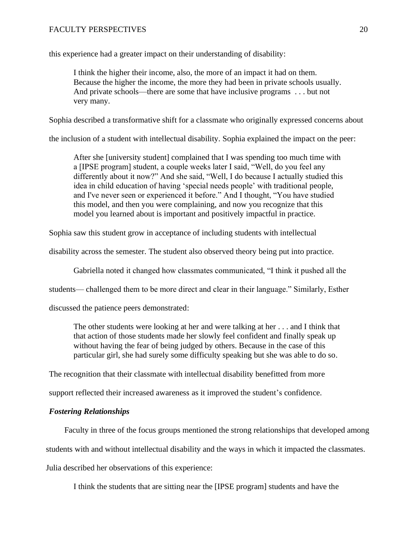this experience had a greater impact on their understanding of disability:

I think the higher their income, also, the more of an impact it had on them. Because the higher the income, the more they had been in private schools usually. And private schools—there are some that have inclusive programs . . . but not very many.

Sophia described a transformative shift for a classmate who originally expressed concerns about

the inclusion of a student with intellectual disability. Sophia explained the impact on the peer:

After she [university student] complained that I was spending too much time with a [IPSE program] student, a couple weeks later I said, "Well, do you feel any differently about it now?" And she said, "Well, I do because I actually studied this idea in child education of having 'special needs people' with traditional people, and I've never seen or experienced it before." And I thought, "You have studied this model, and then you were complaining, and now you recognize that this model you learned about is important and positively impactful in practice.

Sophia saw this student grow in acceptance of including students with intellectual

disability across the semester. The student also observed theory being put into practice.

Gabriella noted it changed how classmates communicated, "I think it pushed all the

students— challenged them to be more direct and clear in their language." Similarly, Esther

discussed the patience peers demonstrated:

The other students were looking at her and were talking at her . . . and I think that that action of those students made her slowly feel confident and finally speak up without having the fear of being judged by others. Because in the case of this particular girl, she had surely some difficulty speaking but she was able to do so.

The recognition that their classmate with intellectual disability benefitted from more

support reflected their increased awareness as it improved the student's confidence.

# *Fostering Relationships*

Faculty in three of the focus groups mentioned the strong relationships that developed among

students with and without intellectual disability and the ways in which it impacted the classmates.

Julia described her observations of this experience:

I think the students that are sitting near the [IPSE program] students and have the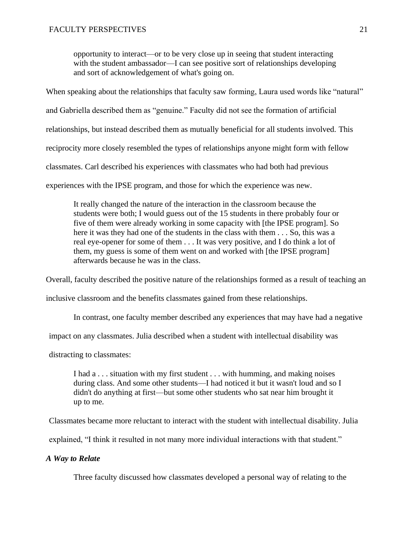opportunity to interact—or to be very close up in seeing that student interacting with the student ambassador—I can see positive sort of relationships developing and sort of acknowledgement of what's going on.

When speaking about the relationships that faculty saw forming, Laura used words like "natural" and Gabriella described them as "genuine." Faculty did not see the formation of artificial relationships, but instead described them as mutually beneficial for all students involved. This reciprocity more closely resembled the types of relationships anyone might form with fellow classmates. Carl described his experiences with classmates who had both had previous experiences with the IPSE program, and those for which the experience was new.

It really changed the nature of the interaction in the classroom because the students were both; I would guess out of the 15 students in there probably four or five of them were already working in some capacity with [the IPSE program]. So here it was they had one of the students in the class with them . . . So, this was a real eye-opener for some of them . . . It was very positive, and I do think a lot of them, my guess is some of them went on and worked with [the IPSE program] afterwards because he was in the class.

Overall, faculty described the positive nature of the relationships formed as a result of teaching an

inclusive classroom and the benefits classmates gained from these relationships.

In contrast, one faculty member described any experiences that may have had a negative

impact on any classmates. Julia described when a student with intellectual disability was

distracting to classmates:

I had a . . . situation with my first student . . . with humming, and making noises during class. And some other students—I had noticed it but it wasn't loud and so I didn't do anything at first—but some other students who sat near him brought it up to me.

Classmates became more reluctant to interact with the student with intellectual disability. Julia

explained, "I think it resulted in not many more individual interactions with that student."

# *A Way to Relate*

Three faculty discussed how classmates developed a personal way of relating to the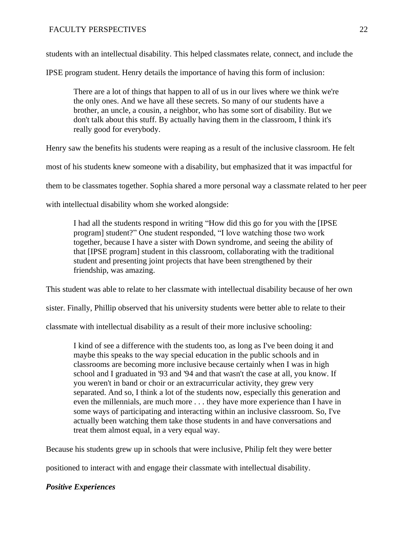students with an intellectual disability. This helped classmates relate, connect, and include the

IPSE program student. Henry details the importance of having this form of inclusion:

There are a lot of things that happen to all of us in our lives where we think we're the only ones. And we have all these secrets. So many of our students have a brother, an uncle, a cousin, a neighbor, who has some sort of disability. But we don't talk about this stuff. By actually having them in the classroom, I think it's really good for everybody.

Henry saw the benefits his students were reaping as a result of the inclusive classroom. He felt

most of his students knew someone with a disability, but emphasized that it was impactful for

them to be classmates together. Sophia shared a more personal way a classmate related to her peer

with intellectual disability whom she worked alongside:

I had all the students respond in writing "How did this go for you with the [IPSE program] student?" One student responded, "I love watching those two work together, because I have a sister with Down syndrome, and seeing the ability of that [IPSE program] student in this classroom, collaborating with the traditional student and presenting joint projects that have been strengthened by their friendship, was amazing.

This student was able to relate to her classmate with intellectual disability because of her own

sister. Finally, Phillip observed that his university students were better able to relate to their

classmate with intellectual disability as a result of their more inclusive schooling:

I kind of see a difference with the students too, as long as I've been doing it and maybe this speaks to the way special education in the public schools and in classrooms are becoming more inclusive because certainly when I was in high school and I graduated in '93 and '94 and that wasn't the case at all, you know. If you weren't in band or choir or an extracurricular activity, they grew very separated. And so, I think a lot of the students now, especially this generation and even the millennials, are much more . . . they have more experience than I have in some ways of participating and interacting within an inclusive classroom. So, I've actually been watching them take those students in and have conversations and treat them almost equal, in a very equal way.

Because his students grew up in schools that were inclusive, Philip felt they were better

positioned to interact with and engage their classmate with intellectual disability.

# *Positive Experiences*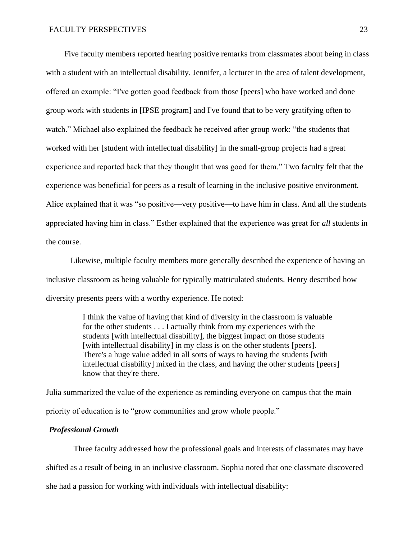Five faculty members reported hearing positive remarks from classmates about being in class with a student with an intellectual disability. Jennifer, a lecturer in the area of talent development, offered an example: "I've gotten good feedback from those [peers] who have worked and done group work with students in [IPSE program] and I've found that to be very gratifying often to watch." Michael also explained the feedback he received after group work: "the students that worked with her [student with intellectual disability] in the small-group projects had a great experience and reported back that they thought that was good for them." Two faculty felt that the experience was beneficial for peers as a result of learning in the inclusive positive environment. Alice explained that it was "so positive—very positive—to have him in class. And all the students appreciated having him in class." Esther explained that the experience was great for *all* students in the course.

Likewise, multiple faculty members more generally described the experience of having an inclusive classroom as being valuable for typically matriculated students. Henry described how diversity presents peers with a worthy experience. He noted:

> I think the value of having that kind of diversity in the classroom is valuable for the other students . . . I actually think from my experiences with the students [with intellectual disability], the biggest impact on those students [with intellectual disability] in my class is on the other students [peers]. There's a huge value added in all sorts of ways to having the students [with intellectual disability] mixed in the class, and having the other students [peers] know that they're there.

 Julia summarized the value of the experience as reminding everyone on campus that the main priority of education is to "grow communities and grow whole people."

# *Professional Growth*

Three faculty addressed how the professional goals and interests of classmates may have shifted as a result of being in an inclusive classroom. Sophia noted that one classmate discovered she had a passion for working with individuals with intellectual disability: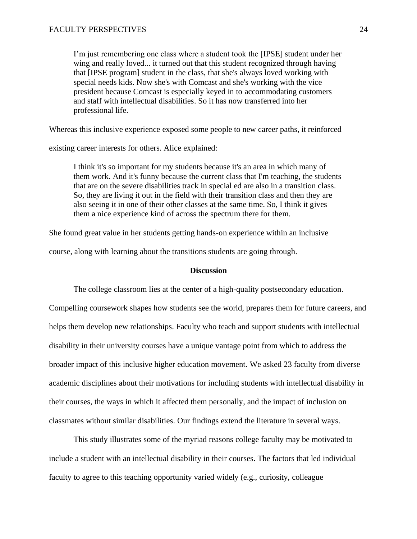I'm just remembering one class where a student took the [IPSE] student under her wing and really loved... it turned out that this student recognized through having that [IPSE program] student in the class, that she's always loved working with special needs kids. Now she's with Comcast and she's working with the vice president because Comcast is especially keyed in to accommodating customers and staff with intellectual disabilities. So it has now transferred into her professional life.

Whereas this inclusive experience exposed some people to new career paths, it reinforced

existing career interests for others. Alice explained:

I think it's so important for my students because it's an area in which many of them work. And it's funny because the current class that I'm teaching, the students that are on the severe disabilities track in special ed are also in a transition class. So, they are living it out in the field with their transition class and then they are also seeing it in one of their other classes at the same time. So, I think it gives them a nice experience kind of across the spectrum there for them.

She found great value in her students getting hands-on experience within an inclusive

course, along with learning about the transitions students are going through.

# **Discussion**

The college classroom lies at the center of a high-quality postsecondary education. Compelling coursework shapes how students see the world, prepares them for future careers, and helps them develop new relationships. Faculty who teach and support students with intellectual disability in their university courses have a unique vantage point from which to address the broader impact of this inclusive higher education movement. We asked 23 faculty from diverse academic disciplines about their motivations for including students with intellectual disability in their courses, the ways in which it affected them personally, and the impact of inclusion on classmates without similar disabilities. Our findings extend the literature in several ways.

This study illustrates some of the myriad reasons college faculty may be motivated to include a student with an intellectual disability in their courses. The factors that led individual faculty to agree to this teaching opportunity varied widely (e.g., curiosity, colleague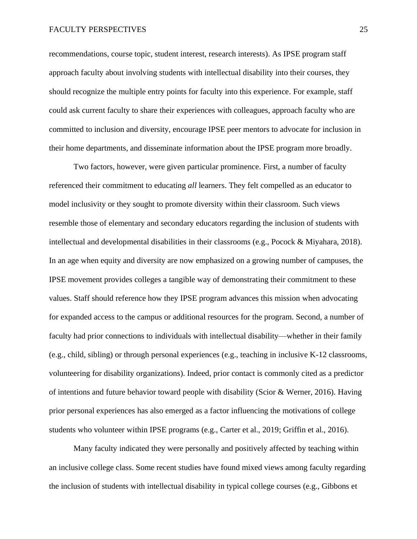recommendations, course topic, student interest, research interests). As IPSE program staff approach faculty about involving students with intellectual disability into their courses, they should recognize the multiple entry points for faculty into this experience. For example, staff could ask current faculty to share their experiences with colleagues, approach faculty who are committed to inclusion and diversity, encourage IPSE peer mentors to advocate for inclusion in their home departments, and disseminate information about the IPSE program more broadly.

Two factors, however, were given particular prominence. First, a number of faculty referenced their commitment to educating *all* learners. They felt compelled as an educator to model inclusivity or they sought to promote diversity within their classroom. Such views resemble those of elementary and secondary educators regarding the inclusion of students with intellectual and developmental disabilities in their classrooms (e.g., Pocock & Miyahara, 2018). In an age when equity and diversity are now emphasized on a growing number of campuses, the IPSE movement provides colleges a tangible way of demonstrating their commitment to these values. Staff should reference how they IPSE program advances this mission when advocating for expanded access to the campus or additional resources for the program. Second, a number of faculty had prior connections to individuals with intellectual disability—whether in their family (e.g., child, sibling) or through personal experiences (e.g., teaching in inclusive K-12 classrooms, volunteering for disability organizations). Indeed, prior contact is commonly cited as a predictor of intentions and future behavior toward people with disability (Scior & Werner, 2016). Having prior personal experiences has also emerged as a factor influencing the motivations of college students who volunteer within IPSE programs (e.g., Carter et al., 2019; Griffin et al., 2016).

Many faculty indicated they were personally and positively affected by teaching within an inclusive college class. Some recent studies have found mixed views among faculty regarding the inclusion of students with intellectual disability in typical college courses (e.g., Gibbons et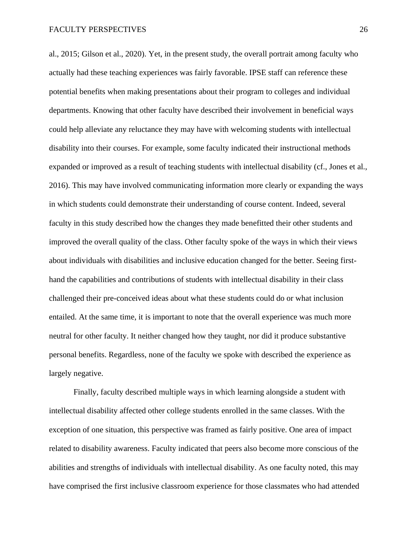al., 2015; Gilson et al., 2020). Yet, in the present study, the overall portrait among faculty who actually had these teaching experiences was fairly favorable. IPSE staff can reference these potential benefits when making presentations about their program to colleges and individual departments. Knowing that other faculty have described their involvement in beneficial ways could help alleviate any reluctance they may have with welcoming students with intellectual disability into their courses. For example, some faculty indicated their instructional methods expanded or improved as a result of teaching students with intellectual disability (cf., Jones et al., 2016). This may have involved communicating information more clearly or expanding the ways in which students could demonstrate their understanding of course content. Indeed, several faculty in this study described how the changes they made benefitted their other students and improved the overall quality of the class. Other faculty spoke of the ways in which their views about individuals with disabilities and inclusive education changed for the better. Seeing firsthand the capabilities and contributions of students with intellectual disability in their class challenged their pre-conceived ideas about what these students could do or what inclusion entailed. At the same time, it is important to note that the overall experience was much more neutral for other faculty. It neither changed how they taught, nor did it produce substantive personal benefits. Regardless, none of the faculty we spoke with described the experience as largely negative.

Finally, faculty described multiple ways in which learning alongside a student with intellectual disability affected other college students enrolled in the same classes. With the exception of one situation, this perspective was framed as fairly positive. One area of impact related to disability awareness. Faculty indicated that peers also become more conscious of the abilities and strengths of individuals with intellectual disability. As one faculty noted, this may have comprised the first inclusive classroom experience for those classmates who had attended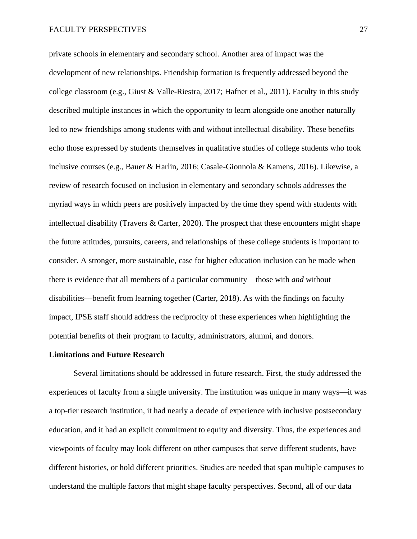private schools in elementary and secondary school. Another area of impact was the development of new relationships. Friendship formation is frequently addressed beyond the college classroom (e.g., Giust & Valle-Riestra, 2017; Hafner et al., 2011). Faculty in this study described multiple instances in which the opportunity to learn alongside one another naturally led to new friendships among students with and without intellectual disability. These benefits echo those expressed by students themselves in qualitative studies of college students who took inclusive courses (e.g., Bauer & Harlin, 2016; Casale-Gionnola & Kamens, 2016). Likewise, a review of research focused on inclusion in elementary and secondary schools addresses the myriad ways in which peers are positively impacted by the time they spend with students with intellectual disability (Travers  $\&$  Carter, 2020). The prospect that these encounters might shape the future attitudes, pursuits, careers, and relationships of these college students is important to consider. A stronger, more sustainable, case for higher education inclusion can be made when there is evidence that all members of a particular community—those with *and* without disabilities—benefit from learning together (Carter, 2018). As with the findings on faculty impact, IPSE staff should address the reciprocity of these experiences when highlighting the potential benefits of their program to faculty, administrators, alumni, and donors.

#### **Limitations and Future Research**

Several limitations should be addressed in future research. First, the study addressed the experiences of faculty from a single university. The institution was unique in many ways—it was a top-tier research institution, it had nearly a decade of experience with inclusive postsecondary education, and it had an explicit commitment to equity and diversity. Thus, the experiences and viewpoints of faculty may look different on other campuses that serve different students, have different histories, or hold different priorities. Studies are needed that span multiple campuses to understand the multiple factors that might shape faculty perspectives. Second, all of our data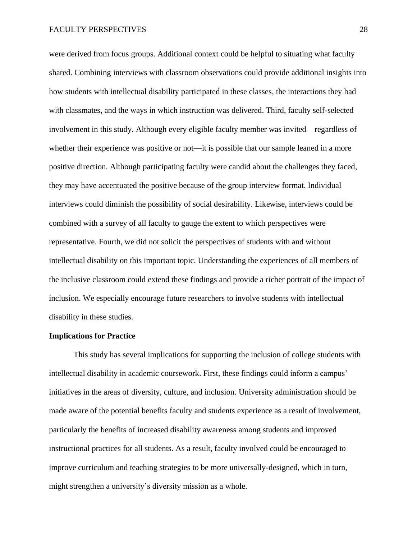were derived from focus groups. Additional context could be helpful to situating what faculty shared. Combining interviews with classroom observations could provide additional insights into how students with intellectual disability participated in these classes, the interactions they had with classmates, and the ways in which instruction was delivered. Third, faculty self-selected involvement in this study. Although every eligible faculty member was invited—regardless of whether their experience was positive or not—it is possible that our sample leaned in a more positive direction. Although participating faculty were candid about the challenges they faced, they may have accentuated the positive because of the group interview format. Individual interviews could diminish the possibility of social desirability. Likewise, interviews could be combined with a survey of all faculty to gauge the extent to which perspectives were representative. Fourth, we did not solicit the perspectives of students with and without intellectual disability on this important topic. Understanding the experiences of all members of the inclusive classroom could extend these findings and provide a richer portrait of the impact of inclusion. We especially encourage future researchers to involve students with intellectual disability in these studies.

#### **Implications for Practice**

This study has several implications for supporting the inclusion of college students with intellectual disability in academic coursework. First, these findings could inform a campus' initiatives in the areas of diversity, culture, and inclusion. University administration should be made aware of the potential benefits faculty and students experience as a result of involvement, particularly the benefits of increased disability awareness among students and improved instructional practices for all students. As a result, faculty involved could be encouraged to improve curriculum and teaching strategies to be more universally-designed, which in turn, might strengthen a university's diversity mission as a whole.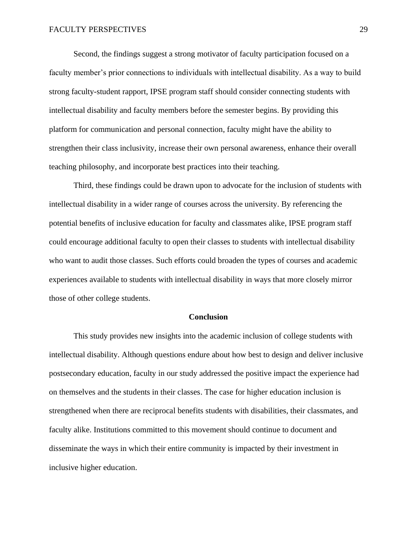Second, the findings suggest a strong motivator of faculty participation focused on a faculty member's prior connections to individuals with intellectual disability. As a way to build strong faculty-student rapport, IPSE program staff should consider connecting students with intellectual disability and faculty members before the semester begins. By providing this platform for communication and personal connection, faculty might have the ability to strengthen their class inclusivity, increase their own personal awareness, enhance their overall teaching philosophy, and incorporate best practices into their teaching.

Third, these findings could be drawn upon to advocate for the inclusion of students with intellectual disability in a wider range of courses across the university. By referencing the potential benefits of inclusive education for faculty and classmates alike, IPSE program staff could encourage additional faculty to open their classes to students with intellectual disability who want to audit those classes. Such efforts could broaden the types of courses and academic experiences available to students with intellectual disability in ways that more closely mirror those of other college students.

#### **Conclusion**

This study provides new insights into the academic inclusion of college students with intellectual disability. Although questions endure about how best to design and deliver inclusive postsecondary education, faculty in our study addressed the positive impact the experience had on themselves and the students in their classes. The case for higher education inclusion is strengthened when there are reciprocal benefits students with disabilities, their classmates, and faculty alike. Institutions committed to this movement should continue to document and disseminate the ways in which their entire community is impacted by their investment in inclusive higher education.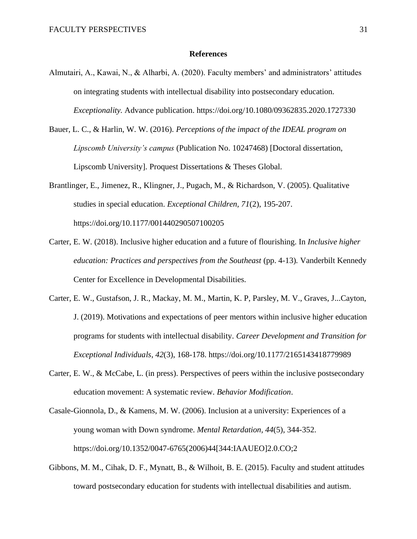# **References**

- Almutairi, A., Kawai, N., & Alharbi, A. (2020). Faculty members' and administrators' attitudes on integrating students with intellectual disability into postsecondary education. *Exceptionality.* Advance publication. https://doi.org/10.1080/09362835.2020.1727330
- Bauer, L. C., & Harlin, W. W. (2016). *Perceptions of the impact of the IDEAL program on Lipscomb University's campus* (Publication No. 10247468) [Doctoral dissertation, Lipscomb University]. Proquest Dissertations & Theses Global.
- Brantlinger, E., Jimenez, R., Klingner, J., Pugach, M., & Richardson, V. (2005). Qualitative studies in special education. *Exceptional Children, 71*(2), 195-207. https://doi.org/10.1177/001440290507100205
- Carter, E. W. (2018). Inclusive higher education and a future of flourishing. In *Inclusive higher education: Practices and perspectives from the Southeast (pp. 4-13). Vanderbilt Kennedy* Center for Excellence in Developmental Disabilities.
- Carter, E. W., Gustafson, J. R., Mackay, M. M., Martin, K. P, Parsley, M. V., Graves, J...Cayton, J. (2019). Motivations and expectations of peer mentors within inclusive higher education programs for students with intellectual disability. *Career Development and Transition for Exceptional Individuals*, *42*(3), 168-178. https://doi.org/10.1177/2165143418779989
- Carter, E. W., & McCabe, L. (in press). Perspectives of peers within the inclusive postsecondary education movement: A systematic review*. Behavior Modification*.
- Casale-Gionnola, D., & Kamens, M. W. (2006). Inclusion at a university: Experiences of a young woman with Down syndrome. *Mental Retardation, 44*(5), 344-352. https://doi.org/10.1352/0047-6765(2006)44[344:IAAUEO]2.0.CO;2
- Gibbons, M. M., Cihak, D. F., Mynatt, B., & Wilhoit, B. E. (2015). Faculty and student attitudes toward postsecondary education for students with intellectual disabilities and autism.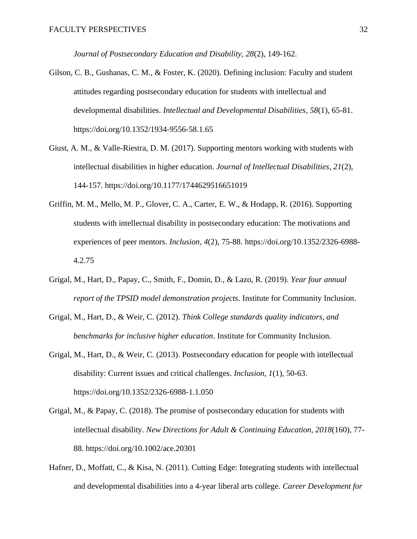*Journal of Postsecondary Education and Disability, 28*(2), 149-162.

- Gilson, C. B., Gushanas, C. M., & Foster, K. (2020). Defining inclusion: Faculty and student attitudes regarding postsecondary education for students with intellectual and developmental disabilities. *Intellectual and Developmental Disabilities*, *58*(1), 65-81. https://doi.org/10.1352/1934-9556-58.1.65
- Giust, A. M., & Valle-Riestra, D. M. (2017). Supporting mentors working with students with intellectual disabilities in higher education. *Journal of Intellectual Disabilities*, *21*(2), 144-157. https://doi.org/10.1177/1744629516651019
- Griffin, M. M., Mello, M. P., Glover, C. A., Carter, E. W., & Hodapp, R. (2016). Supporting students with intellectual disability in postsecondary education: The motivations and experiences of peer mentors. *Inclusion*, *4*(2), 75-88. https://doi.org/10.1352/2326-6988- 4.2.75
- Grigal, M., Hart, D., Papay, C., Smith, F., Domin, D., & Lazo, R. (2019). *Year four annual report of the TPSID model demonstration projects*. Institute for Community Inclusion.
- Grigal, M., Hart, D., & Weir, C. (2012). *Think College standards quality indicators, and benchmarks for inclusive higher education*. Institute for Community Inclusion.
- Grigal, M., Hart, D., & Weir, C. (2013). Postsecondary education for people with intellectual disability: Current issues and critical challenges. *Inclusion*, *1*(1), 50-63. https://doi.org/10.1352/2326-6988-1.1.050
- Grigal, M., & Papay, C. (2018). The promise of postsecondary education for students with intellectual disability. *New Directions for Adult & Continuing Education, 2018*(160), 77- 88. https://doi.org/10.1002/ace.20301
- Hafner, D., Moffatt, C., & Kisa, N. (2011). Cutting Edge: Integrating students with intellectual and developmental disabilities into a 4-year liberal arts college. *Career Development for*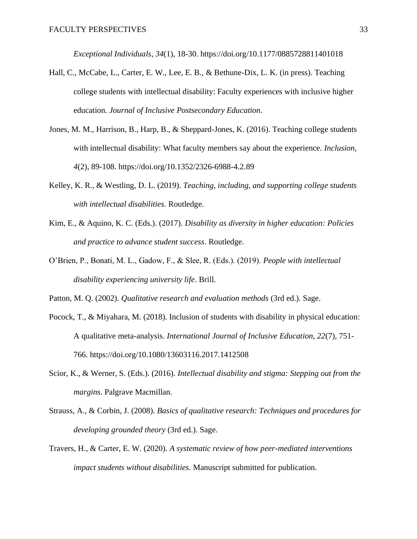*Exceptional Individuals*, *34*(1), 18-30. https://doi.org/10.1177/0885728811401018

- Hall, C., McCabe, L., Carter, E. W., Lee, E. B., & Bethune-Dix, L. K. (in press). Teaching college students with intellectual disability: Faculty experiences with inclusive higher education. *Journal of Inclusive Postsecondary Education*.
- Jones, M. M., Harrison, B., Harp, B., & Sheppard-Jones, K. (2016). Teaching college students with intellectual disability: What faculty members say about the experience. *Inclusion, 4*(2), 89-108. https://doi.org/10.1352/2326-6988-4.2.89
- Kelley, K. R., & Westling, D. L. (2019). *Teaching, including, and supporting college students with intellectual disabilities.* Routledge.
- Kim, E., & Aquino, K. C. (Eds.). (2017). *Disability as diversity in higher education: Policies and practice to advance student success*. Routledge.
- O'Brien, P., Bonati, M. L., Gadow, F., & Slee, R. (Eds.). (2019). *People with intellectual disability experiencing university life*. Brill.
- Patton, M. Q. (2002). *Qualitative research and evaluation methods* (3rd ed.). Sage.
- Pocock, T., & Miyahara, M. (2018). Inclusion of students with disability in physical education: A qualitative meta-analysis. *International Journal of Inclusive Education, 22*(7), 751- 766. https://doi.org/10.1080/13603116.2017.1412508
- Scior, K., & Werner, S. (Eds.). (2016). *Intellectual disability and stigma: Stepping out from the margins*. Palgrave Macmillan.
- Strauss, A., & Corbin, J. (2008). *Basics of qualitative research: Techniques and procedures for developing grounded theory* (3rd ed.). Sage.
- Travers, H., & Carter, E. W. (2020). *A systematic review of how peer-mediated interventions impact students without disabilities.* Manuscript submitted for publication.